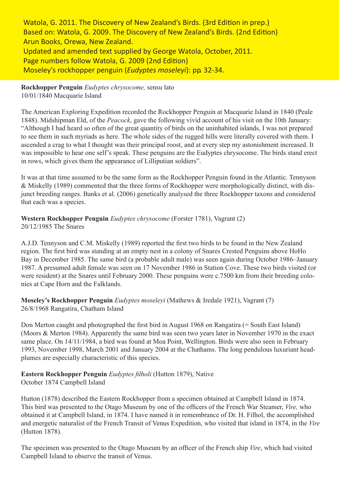Watola, G. 2011. The Discovery of New Zealand's Birds. (3rd Edition in prep.) Based on: Watola, G. 2009. The Discovery of New Zealand's Birds. (2nd Edition) Arun Books, Orewa, New Zealand. Updated and amended text supplied by George Watola, October, 2011. Page numbers follow Watola, G. 2009 (2nd Edition) Moseley's rockhopper penguin (*Eudyptes moseleyi*): pp. 32-34.

**Rockhopper Penguin** *Eudyptes chrysocome,* sensu lato 10/01/1840 Macquarie Island

The American Exploring Expedition recorded the Rockhopper Penguin at Macquarie Island in 1840 (Peale 1848). Midshipman Eld, of the *Peacock*, gave the following vivid account of his visit on the 10th January: "Although I had heard so often of the great quantity of birds on the uninhabited islands, I was not prepared to see them in such myriads as here. The whole sides of the rugged hills were literally covered with them. I ascended a crag to what I thought was their principal roost, and at every step my astonishment increased. It was impossible to hear one self's speak. These penguins are the Eudyptes chrysocome. The birds stand erect in rows, which gives them the appearance of Lilliputian soldiers".

It was at that time assumed to be the same form as the Rockhopper Penguin found in the Atlantic. Tennyson & Miskelly (1989) commented that the three forms of Rockhopper were morphologically distinct, with disjunct breeding ranges. Banks et al. (2006) genetically analysed the three Rockhopper taxons and considered that each was a species.